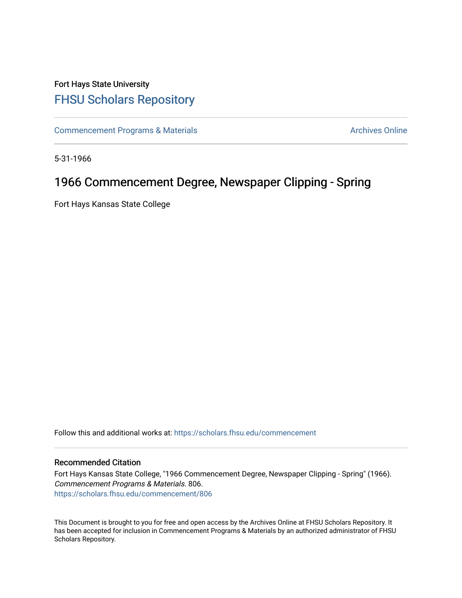## Fort Hays State University [FHSU Scholars Repository](https://scholars.fhsu.edu/)

[Commencement Programs & Materials](https://scholars.fhsu.edu/commencement) **Archives Online** Archives Online

5-31-1966

## 1966 Commencement Degree, Newspaper Clipping - Spring

Fort Hays Kansas State College

Follow this and additional works at: [https://scholars.fhsu.edu/commencement](https://scholars.fhsu.edu/commencement?utm_source=scholars.fhsu.edu%2Fcommencement%2F806&utm_medium=PDF&utm_campaign=PDFCoverPages)

## Recommended Citation

Fort Hays Kansas State College, "1966 Commencement Degree, Newspaper Clipping - Spring" (1966). Commencement Programs & Materials. 806. [https://scholars.fhsu.edu/commencement/806](https://scholars.fhsu.edu/commencement/806?utm_source=scholars.fhsu.edu%2Fcommencement%2F806&utm_medium=PDF&utm_campaign=PDFCoverPages)

This Document is brought to you for free and open access by the Archives Online at FHSU Scholars Repository. It has been accepted for inclusion in Commencement Programs & Materials by an authorized administrator of FHSU Scholars Repository.